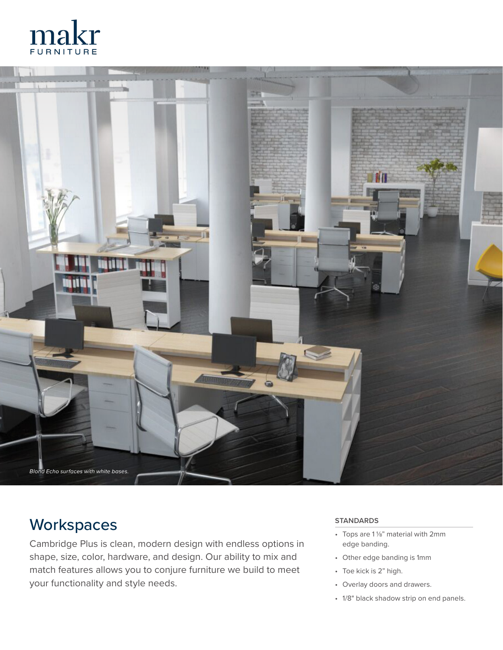



## **Workspaces**

Cambridge Plus is clean, modern design with endless options in shape, size, color, hardware, and design. Our ability to mix and match features allows you to conjure furniture we build to meet your functionality and style needs.

#### **STANDARDS**

- Tops are  $1\frac{1}{8}$ " material with 2mm edge banding.
- Other edge banding is 1mm
- Toe kick is 2" high.
- Overlay doors and drawers.
- 1/8" black shadow strip on end panels.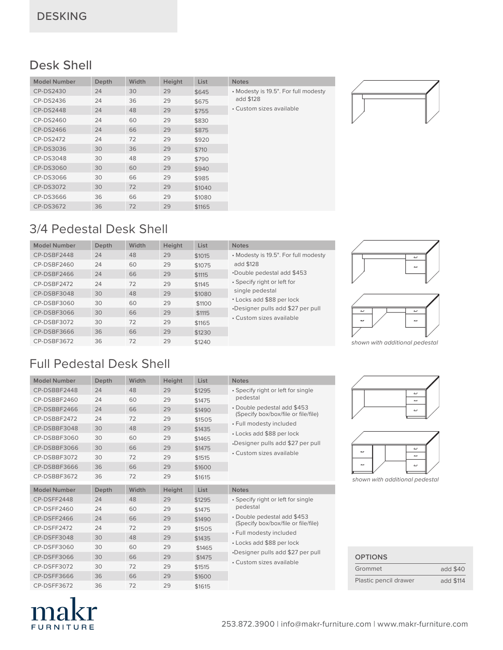#### Desk Shell

| <b>Model Number</b> | Depth | Width | Height | List   | <b>Notes</b>                         |
|---------------------|-------|-------|--------|--------|--------------------------------------|
| CP-DS2430           | 24    | 30    | 29     | \$645  | • Modesty is 19.5". For full modesty |
| CP-DS2436           | 24    | 36    | 29     | \$675  | add \$128                            |
| <b>CP-DS2448</b>    | 24    | 48    | 29     | \$755  | • Custom sizes available             |
| CP-DS2460           | 24    | 60    | 29     | \$830  |                                      |
| CP-DS2466           | 24    | 66    | 29     | \$875  |                                      |
| CP-DS2472           | 24    | 72    | 29     | \$920  |                                      |
| CP-DS3036           | 30    | 36    | 29     | \$710  |                                      |
| CP-DS3048           | 30    | 48    | 29     | \$790  |                                      |
| CP-DS3060           | 30    | 60    | 29     | \$940  |                                      |
| CP-DS3066           | 30    | 66    | 29     | \$985  |                                      |
| CP-DS3072           | 30    | 72    | 29     | \$1040 |                                      |
| CP-DS3666           | 36    | 66    | 29     | \$1080 |                                      |
| CP-DS3672           | 36    | 72    | 29     | \$1165 |                                      |
|                     |       |       |        |        |                                      |

### 3/4 Pedestal Desk Shell

| <b>Model Number</b> | Depth | Width | Height | List   | <b>Notes</b>                         |
|---------------------|-------|-------|--------|--------|--------------------------------------|
| CP-DSBF2448         | 24    | 48    | 29     | \$1015 | • Modesty is 19.5". For full modesty |
| CP-DSBF2460         | 24    | 60    | 29     | \$1075 | add \$128                            |
| CP-DSBF2466         | 24    | 66    | 29     | \$1115 | *Double pedestal add \$453           |
| CP-DSBF2472         | 24    | 72    | 29     | \$1145 | • Specify right or left for          |
| CP-DSBF3048         | 30    | 48    | 29     | \$1080 | single pedestal                      |
| CP-DSBF3060         | 30    | 60    | 29     | \$1100 | • Locks add \$88 per lock            |
| CP-DSBF3066         | 30    | 66    | 29     | \$1115 | •Designer pulls add \$27 per pull    |
| CP-DSBF3072         | 30    | 72    | 29     | \$1165 | • Custom sizes available             |
| CP-DSBF3666         | 36    | 66    | 29     | \$1230 |                                      |
| CP-DSBF3672         | 36    | 72    | 29     | \$1240 |                                      |

## Full Pedestal Desk Shell





*shown with additional pedestal*





*shown with additional pedestal*

| Grommet               | add \$40  |
|-----------------------|-----------|
| Plastic pencil drawer | add \$114 |

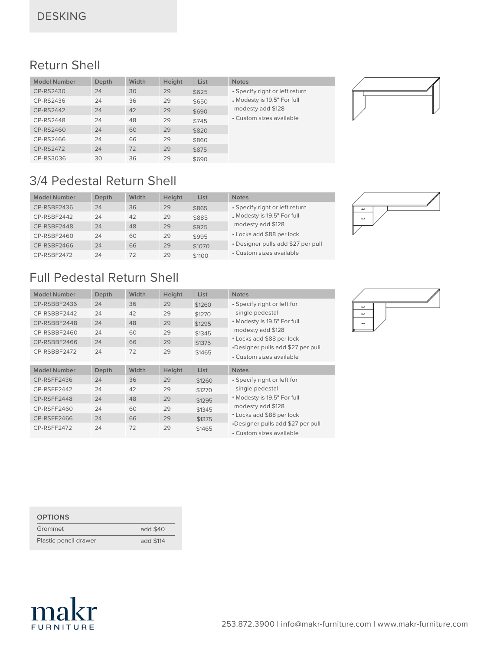#### Return Shell

| <b>Model Number</b> | Depth | Width | Height | List  | <b>Notes</b>                   |
|---------------------|-------|-------|--------|-------|--------------------------------|
| CP-RS2430           | 24    | 30    | 29     | \$625 | • Specify right or left return |
| CP-RS2436           | 24    | 36    | 29     | \$650 | . Modesty is 19.5" For full    |
| CP-RS2442           | 24    | 42    | 29     | \$690 | modesty add \$128              |
| CP-RS2448           | 24    | 48    | 29     | \$745 | • Custom sizes available       |
| CP-RS2460           | 24    | 60    | 29     | \$820 |                                |
| CP-RS2466           | 24    | 66    | 29     | \$860 |                                |
| CP-RS2472           | 24    | 72    | 29     | \$875 |                                |
| CP-RS3036           | 30    | 36    | 29     | \$690 |                                |



#### 3/4 Pedestal Return Shell

| <b>Model Number</b> | <b>Depth</b> | Width | Height | List   | <b>Notes</b>                       |
|---------------------|--------------|-------|--------|--------|------------------------------------|
| CP-RSBF2436         | 24           | 36    | 29     | \$865  | • Specify right or left return     |
| CP-RSBF2442         | 24           | 42    | 29     | \$885  | . Modesty is 19.5" For full        |
| CP-RSBF2448         | 24           | 48    | 29     | \$925  | modesty add \$128                  |
| CP-RSBF2460         | 24           | 60    | 29     | \$995  | • Locks add \$88 per lock          |
| CP-RSBF2466         | 24           | 66    | 29     | \$1070 | • Designer pulls add \$27 per pull |
| CP-RSBF2472         | 24           | 72    | 29     | \$1100 | • Custom sizes available           |

#### Full Pedestal Return Shell

| <b>Model Number</b> | Depth | Width | <b>Height</b> | List        | <b>Notes</b>                                                   |
|---------------------|-------|-------|---------------|-------------|----------------------------------------------------------------|
| CP-RSBBF2436        | 24    | 36    | 29            | \$1260      | • Specify right or left for                                    |
| CP-RSBBF2442        | 24    | 42    | 29            | \$1270      | single pedestal                                                |
| CP-RSBBF2448        | 24    | 48    | 29            | \$1295      | • Modesty is 19.5" For full                                    |
| CP-RSBBF2460        | 24    | 60    | 29            | \$1345      | modesty add \$128                                              |
| CP-RSBBF2466        | 24    | 66    | 29            | \$1375      | • Locks add \$88 per lock                                      |
| CP-RSBBF2472        | 24    | 72    | 29            | \$1465      | •Designer pulls add \$27 per pull<br>• Custom sizes available  |
|                     |       |       |               |             |                                                                |
|                     |       |       |               |             |                                                                |
| <b>Model Number</b> | Depth | Width | <b>Height</b> | <b>List</b> | <b>Notes</b>                                                   |
| CP-RSFF2436         | 24    | 36    | 29            | \$1260      | • Specify right or left for                                    |
| CP-RSFF2442         | 24    | 42    | 29            | \$1270      | single pedestal                                                |
| CP-RSFF2448         | 24    | 48    | 29            | \$1295      | • Modesty is 19.5" For full                                    |
| CP-RSFF2460         | 24    | 60    | 29            | \$1345      | modesty add \$128                                              |
| CP-RSFF2466         | 24    | 66    | 29            | \$1375      | • Locks add \$88 per lock<br>•Designer pulls add \$27 per pull |



| <b>OPTIONS</b>        |           |
|-----------------------|-----------|
| Grommet               | add \$40  |
| Plastic pencil drawer | add \$114 |

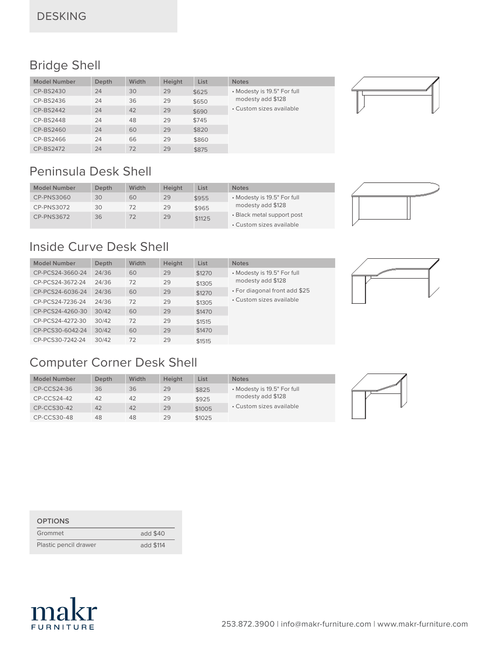#### Bridge Shell

| <b>Model Number</b> | <b>Depth</b> | Width | Height | List  | <b>Notes</b>                |
|---------------------|--------------|-------|--------|-------|-----------------------------|
| CP-BS2430           | 24           | 30    | 29     | \$625 | • Modesty is 19.5" For full |
| CP-BS2436           | 24           | 36    | 29     | \$650 | modesty add \$128           |
| CP-BS2442           | 24           | 42    | 29     | \$690 | • Custom sizes available    |
| CP-BS2448           | 24           | 48    | 29     | \$745 |                             |
| CP-BS2460           | 24           | 60    | 29     | \$820 |                             |
| CP-BS2466           | 24           | 66    | 29     | \$860 |                             |
| CP-BS2472           | 24           | 72    | 29     | \$875 |                             |

#### Peninsula Desk Shell

| <b>Model Number</b> | Depth | Width | Height | List   | <b>Notes</b>                |
|---------------------|-------|-------|--------|--------|-----------------------------|
| CP-PNS3060          | 30    | 60    | 29     | \$955  | • Modesty is 19.5" For full |
| CP-PNS3072          | 30    | 72    | 29     | \$965  | modesty add \$128           |
| <b>CP-PNS3672</b>   | 36    | 72    | 29     | \$1125 | • Black metal support post  |
|                     |       |       |        |        | • Custom sizes available    |



## Inside Curve Desk Shell

| <b>Model Number</b> | Depth | Width | Height | List   | <b>Notes</b>                  |
|---------------------|-------|-------|--------|--------|-------------------------------|
| CP-PCS24-3660-24    | 24/36 | 60    | 29     | \$1270 | • Modesty is 19.5" For full   |
| CP-PCS24-3672-24    | 24/36 | 72    | 29     | \$1305 | modesty add \$128             |
| CP-PCS24-6036-24    | 24/36 | 60    | 29     | \$1270 | • For diagonal front add \$25 |
| CP-PCS24-7236-24    | 24/36 | 72    | 29     | \$1305 | • Custom sizes available      |
| CP-PCS24-4260-30    | 30/42 | 60    | 29     | \$1470 |                               |
| CP-PCS24-4272-30    | 30/42 | 72    | 29     | \$1515 |                               |
| CP-PCS30-6042-24    | 30/42 | 60    | 29     | \$1470 |                               |
| CP-PCS30-7242-24    | 30/42 | 72    | 29     | \$1515 |                               |

#### Computer Corner Desk Shell

| Model Number  | <b>Depth</b> | Width | <b>Height</b> | List   | <b>Notes</b>                |  |
|---------------|--------------|-------|---------------|--------|-----------------------------|--|
| CP-CCS24-36   | 36           | 36    | 29            | \$825  | • Modesty is 19.5" For full |  |
| $CP-CCS24-42$ | 42           | 42    | 29            | \$925  | modesty add \$128           |  |
| CP-CCS30-42   | 42           | 42    | 29            | \$1005 | • Custom sizes available    |  |
| CP-CCS30-48   | 48           | 48    | 29            | \$1025 |                             |  |

| <b>OPTIONS</b>        |           |
|-----------------------|-----------|
| Grommet               | add \$40  |
| Plastic pencil drawer | add \$114 |

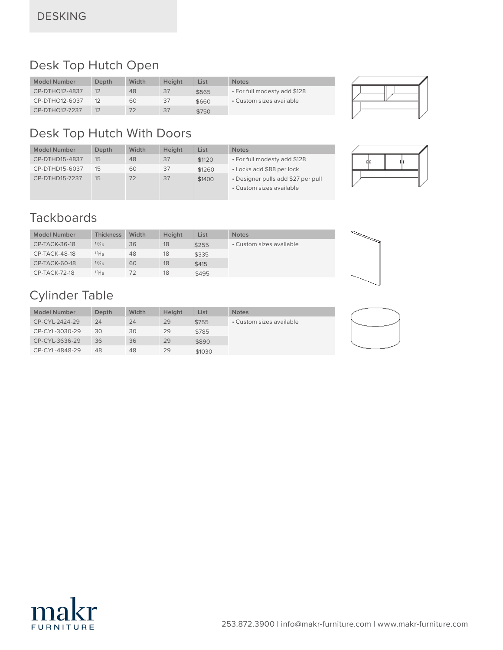#### Desk Top Hutch Open

| <b>Model Number</b> | Depth | Width | Height | List  | <b>Notes</b>                 |
|---------------------|-------|-------|--------|-------|------------------------------|
| CP-DTHO12-4837      |       | 48    | 37     | \$565 | • For full modesty add \$128 |
| CP-DTHO12-6037      |       | 60    | 37     | \$660 | • Custom sizes available     |
| CP-DTHO12-7237      |       |       | 37     | \$750 |                              |



### Desk Top Hutch With Doors

| <b>Model Number</b> | <b>Depth</b> | Width | Height | List   | <b>Notes</b>                                                   |
|---------------------|--------------|-------|--------|--------|----------------------------------------------------------------|
| CP-DTHD15-4837      | 15           | 48    | 37     | \$1120 | • For full modesty add \$128                                   |
| CP-DTHD15-6037      | 15           | 60    | 37     | \$1260 | • Locks add \$88 per lock                                      |
| CP-DTHD15-7237      | 15           | 72    | 37     | \$1400 | • Designer pulls add \$27 per pull<br>• Custom sizes available |
|                     |              |       |        |        |                                                                |



#### **Tackboards**

| <b>Model Number</b>  | Thickness | Width | Height | List  | <b>Notes</b>             |
|----------------------|-----------|-------|--------|-------|--------------------------|
| CP-TACK-36-18        | 13/16     | 36    | 18     | \$255 | • Custom sizes available |
| CP-TACK-48-18        | 13/16     | 48    | 18     | \$335 |                          |
| <b>CP-TACK-60-18</b> | 13/16     | 60    | 18     | \$415 |                          |
| <b>CP-TACK-72-18</b> | 13/16     | 72    | 18     | \$495 |                          |

#### Cylinder Table

| <b>Model Number</b> | <b>Depth</b> | <b>Width</b> | <b>Height</b> | List   | <b>Notes</b>             |  |
|---------------------|--------------|--------------|---------------|--------|--------------------------|--|
| CP-CYL-2424-29      | 24           | 24           | 29            | \$755  | • Custom sizes available |  |
| CP-CYL-3030-29      | 30           | 30           | 29            | \$785  |                          |  |
| CP-CYL-3636-29      | 36           | 36           | 29            | \$890  |                          |  |
| CP-CYL-4848-29      | 48           | 48           | 29            | \$1030 |                          |  |